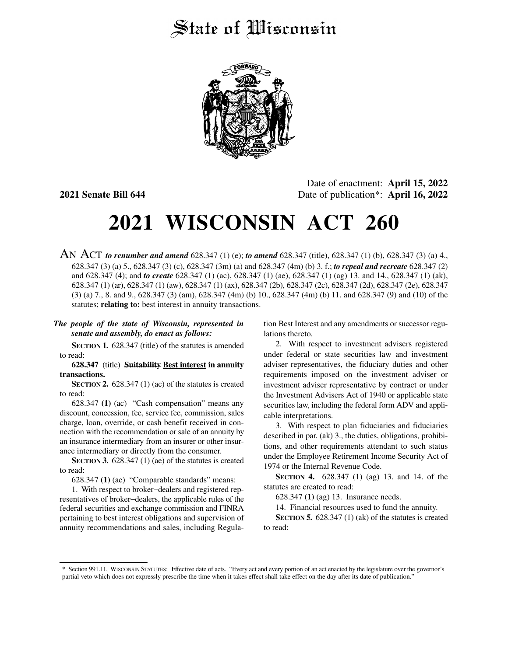## State of Wisconsin



Date of enactment: **April 15, 2022 2021 Senate Bill 644** Date of publication\*: **April 16, 2022**

# **2021 WISCONSIN ACT 260**

AN ACT *to renumber and amend* 628.347 (1) (e); *to amend* 628.347 (title), 628.347 (1) (b), 628.347 (3) (a) 4., 628.347 (3) (a) 5., 628.347 (3) (c), 628.347 (3m) (a) and 628.347 (4m) (b) 3. f.; *to repeal and recreate* 628.347 (2) and 628.347 (4); and *to create* 628.347 (1) (ac), 628.347 (1) (ae), 628.347 (1) (ag) 13. and 14., 628.347 (1) (ak), 628.347 (1) (ar), 628.347 (1) (aw), 628.347 (1) (ax), 628.347 (2b), 628.347 (2c), 628.347 (2d), 628.347 (2e), 628.347 (3) (a) 7., 8. and 9., 628.347 (3) (am), 628.347 (4m) (b) 10., 628.347 (4m) (b) 11. and 628.347 (9) and (10) of the statutes; **relating to:** best interest in annuity transactions.

### *The people of the state of Wisconsin, represented in senate and assembly, do enact as follows:*

**SECTION 1.** 628.347 (title) of the statutes is amended to read:

#### **628.347** (title) **Suitability Best interest in annuity transactions.**

**SECTION 2.** 628.347 (1) (ac) of the statutes is created to read:

628.347 **(1)** (ac) "Cash compensation" means any discount, concession, fee, service fee, commission, sales charge, loan, override, or cash benefit received in connection with the recommendation or sale of an annuity by an insurance intermediary from an insurer or other insurance intermediary or directly from the consumer.

**SECTION 3.** 628.347 (1) (ae) of the statutes is created to read:

628.347 **(1)** (ae) "Comparable standards" means:

1. With respect to broker−dealers and registered representatives of broker−dealers, the applicable rules of the federal securities and exchange commission and FINRA pertaining to best interest obligations and supervision of annuity recommendations and sales, including Regulation Best Interest and any amendments or successor regulations thereto.

2. With respect to investment advisers registered under federal or state securities law and investment adviser representatives, the fiduciary duties and other requirements imposed on the investment adviser or investment adviser representative by contract or under the Investment Advisers Act of 1940 or applicable state securities law, including the federal form ADV and applicable interpretations.

3. With respect to plan fiduciaries and fiduciaries described in par. (ak) 3., the duties, obligations, prohibitions, and other requirements attendant to such status under the Employee Retirement Income Security Act of 1974 or the Internal Revenue Code.

**SECTION 4.** 628.347 (1) (ag) 13. and 14. of the statutes are created to read:

628.347 **(1)** (ag) 13. Insurance needs.

14. Financial resources used to fund the annuity.

**SECTION 5.** 628.347 (1) (ak) of the statutes is created to read:

<sup>\*</sup> Section 991.11, WISCONSIN STATUTES: Effective date of acts. "Every act and every portion of an act enacted by the legislature over the governor's partial veto which does not expressly prescribe the time when it takes effect shall take effect on the day after its date of publication."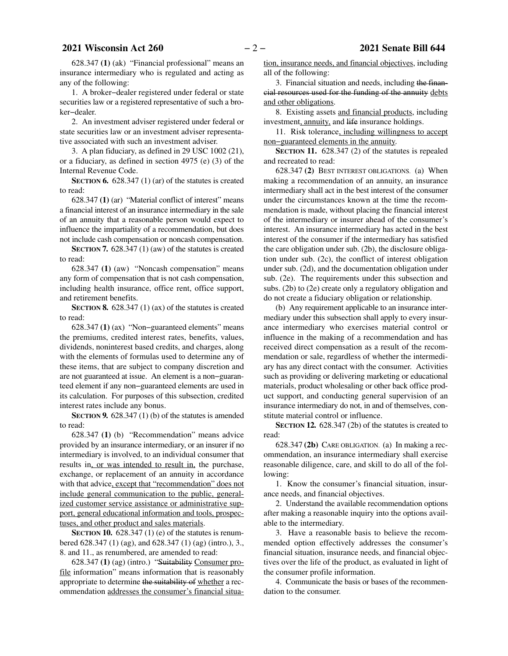628.347 **(1)** (ak) "Financial professional" means an insurance intermediary who is regulated and acting as any of the following:

1. A broker−dealer registered under federal or state securities law or a registered representative of such a broker−dealer.

2. An investment adviser registered under federal or state securities law or an investment adviser representative associated with such an investment adviser.

3. A plan fiduciary, as defined in 29 USC 1002 (21), or a fiduciary, as defined in section 4975 (e) (3) of the Internal Revenue Code.

**SECTION 6.** 628.347 (1) (ar) of the statutes is created to read:

628.347 **(1)** (ar) "Material conflict of interest" means a financial interest of an insurance intermediary in the sale of an annuity that a reasonable person would expect to influence the impartiality of a recommendation, but does not include cash compensation or noncash compensation.

**SECTION 7.** 628.347 (1) (aw) of the statutes is created to read:

628.347 **(1)** (aw) "Noncash compensation" means any form of compensation that is not cash compensation, including health insurance, office rent, office support, and retirement benefits.

**SECTION 8.** 628.347 (1) (ax) of the statutes is created to read:

628.347 **(1)** (ax) "Non−guaranteed elements" means the premiums, credited interest rates, benefits, values, dividends, noninterest based credits, and charges, along with the elements of formulas used to determine any of these items, that are subject to company discretion and are not guaranteed at issue. An element is a non−guaranteed element if any non−guaranteed elements are used in its calculation. For purposes of this subsection, credited interest rates include any bonus.

**SECTION 9.** 628.347 (1) (b) of the statutes is amended to read:

628.347 **(1)** (b) "Recommendation" means advice provided by an insurance intermediary, or an insurer if no intermediary is involved, to an individual consumer that results in, or was intended to result in, the purchase, exchange, or replacement of an annuity in accordance with that advice, except that "recommendation" does not include general communication to the public, generalized customer service assistance or administrative support, general educational information and tools, prospectuses, and other product and sales materials.

**SECTION 10.** 628.347 (1) (e) of the statutes is renumbered 628.347 (1) (ag), and 628.347 (1) (ag) (intro.), 3., 8. and 11., as renumbered, are amended to read:

628.347 **(1)** (ag) (intro.) "Suitability Consumer profile information" means information that is reasonably appropriate to determine the suitability of whether a recommendation addresses the consumer's financial situation, insurance needs, and financial objectives, including all of the following:

3. Financial situation and needs, including the financial resources used for the funding of the annuity debts and other obligations.

8. Existing assets and financial products, including investment, annuity, and life insurance holdings.

11. Risk tolerance, including willingness to accept non−guaranteed elements in the annuity.

**SECTION 11.** 628.347 (2) of the statutes is repealed and recreated to read:

628.347 **(2)** BEST INTEREST OBLIGATIONS. (a) When making a recommendation of an annuity, an insurance intermediary shall act in the best interest of the consumer under the circumstances known at the time the recommendation is made, without placing the financial interest of the intermediary or insurer ahead of the consumer's interest. An insurance intermediary has acted in the best interest of the consumer if the intermediary has satisfied the care obligation under sub. (2b), the disclosure obligation under sub. (2c), the conflict of interest obligation under sub. (2d), and the documentation obligation under sub. (2e). The requirements under this subsection and subs. (2b) to (2e) create only a regulatory obligation and do not create a fiduciary obligation or relationship.

(b) Any requirement applicable to an insurance intermediary under this subsection shall apply to every insurance intermediary who exercises material control or influence in the making of a recommendation and has received direct compensation as a result of the recommendation or sale, regardless of whether the intermediary has any direct contact with the consumer. Activities such as providing or delivering marketing or educational materials, product wholesaling or other back office product support, and conducting general supervision of an insurance intermediary do not, in and of themselves, constitute material control or influence.

**SECTION 12.** 628.347 (2b) of the statutes is created to read:

628.347 **(2b)** CARE OBLIGATION.(a) In making a recommendation, an insurance intermediary shall exercise reasonable diligence, care, and skill to do all of the following:

1. Know the consumer's financial situation, insurance needs, and financial objectives.

2. Understand the available recommendation options after making a reasonable inquiry into the options available to the intermediary.

3. Have a reasonable basis to believe the recommended option effectively addresses the consumer's financial situation, insurance needs, and financial objectives over the life of the product, as evaluated in light of the consumer profile information.

4. Communicate the basis or bases of the recommendation to the consumer.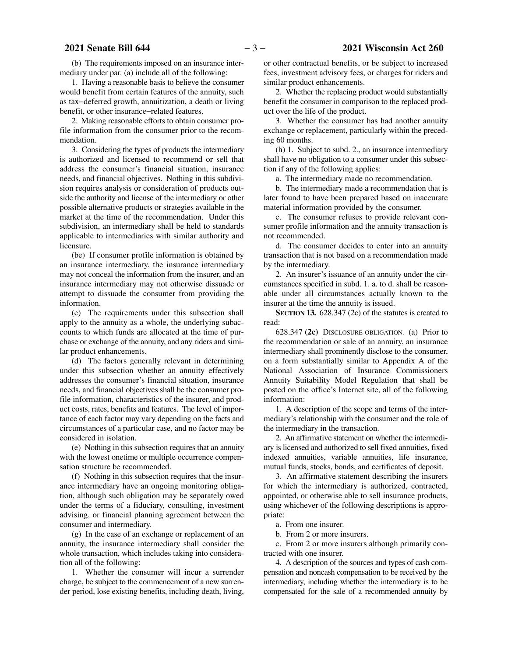(b) The requirements imposed on an insurance intermediary under par. (a) include all of the following:

1. Having a reasonable basis to believe the consumer would benefit from certain features of the annuity, such as tax−deferred growth, annuitization, a death or living benefit, or other insurance−related features.

2. Making reasonable efforts to obtain consumer profile information from the consumer prior to the recommendation.

3. Considering the types of products the intermediary is authorized and licensed to recommend or sell that address the consumer's financial situation, insurance needs, and financial objectives. Nothing in this subdivision requires analysis or consideration of products outside the authority and license of the intermediary or other possible alternative products or strategies available in the market at the time of the recommendation. Under this subdivision, an intermediary shall be held to standards applicable to intermediaries with similar authority and licensure.

(be) If consumer profile information is obtained by an insurance intermediary, the insurance intermediary may not conceal the information from the insurer, and an insurance intermediary may not otherwise dissuade or attempt to dissuade the consumer from providing the information.

(c) The requirements under this subsection shall apply to the annuity as a whole, the underlying subaccounts to which funds are allocated at the time of purchase or exchange of the annuity, and any riders and similar product enhancements.

(d) The factors generally relevant in determining under this subsection whether an annuity effectively addresses the consumer's financial situation, insurance needs, and financial objectives shall be the consumer profile information, characteristics of the insurer, and product costs, rates, benefits and features. The level of importance of each factor may vary depending on the facts and circumstances of a particular case, and no factor may be considered in isolation.

(e) Nothing in this subsection requires that an annuity with the lowest onetime or multiple occurrence compensation structure be recommended.

(f) Nothing in this subsection requires that the insurance intermediary have an ongoing monitoring obligation, although such obligation may be separately owed under the terms of a fiduciary, consulting, investment advising, or financial planning agreement between the consumer and intermediary.

(g) In the case of an exchange or replacement of an annuity, the insurance intermediary shall consider the whole transaction, which includes taking into consideration all of the following:

1. Whether the consumer will incur a surrender charge, be subject to the commencement of a new surrender period, lose existing benefits, including death, living,

or other contractual benefits, or be subject to increased fees, investment advisory fees, or charges for riders and similar product enhancements.

2. Whether the replacing product would substantially benefit the consumer in comparison to the replaced product over the life of the product.

3. Whether the consumer has had another annuity exchange or replacement, particularly within the preceding 60 months.

(h) 1. Subject to subd. 2., an insurance intermediary shall have no obligation to a consumer under this subsection if any of the following applies:

a. The intermediary made no recommendation.

b. The intermediary made a recommendation that is later found to have been prepared based on inaccurate material information provided by the consumer.

c. The consumer refuses to provide relevant consumer profile information and the annuity transaction is not recommended.

d. The consumer decides to enter into an annuity transaction that is not based on a recommendation made by the intermediary.

2. An insurer's issuance of an annuity under the circumstances specified in subd. 1. a. to d. shall be reasonable under all circumstances actually known to the insurer at the time the annuity is issued.

**SECTION 13.** 628.347 (2c) of the statutes is created to read:

628.347 **(2c)** DISCLOSURE OBLIGATION. (a) Prior to the recommendation or sale of an annuity, an insurance intermediary shall prominently disclose to the consumer, on a form substantially similar to Appendix A of the National Association of Insurance Commissioners Annuity Suitability Model Regulation that shall be posted on the office's Internet site, all of the following information:

1. A description of the scope and terms of the intermediary's relationship with the consumer and the role of the intermediary in the transaction.

2. An affirmative statement on whether the intermediary is licensed and authorized to sell fixed annuities, fixed indexed annuities, variable annuities, life insurance, mutual funds, stocks, bonds, and certificates of deposit.

3. An affirmative statement describing the insurers for which the intermediary is authorized, contracted, appointed, or otherwise able to sell insurance products, using whichever of the following descriptions is appropriate:

a. From one insurer.

b. From 2 or more insurers.

c. From 2 or more insurers although primarily contracted with one insurer.

4. A description of the sources and types of cash compensation and noncash compensation to be received by the intermediary, including whether the intermediary is to be compensated for the sale of a recommended annuity by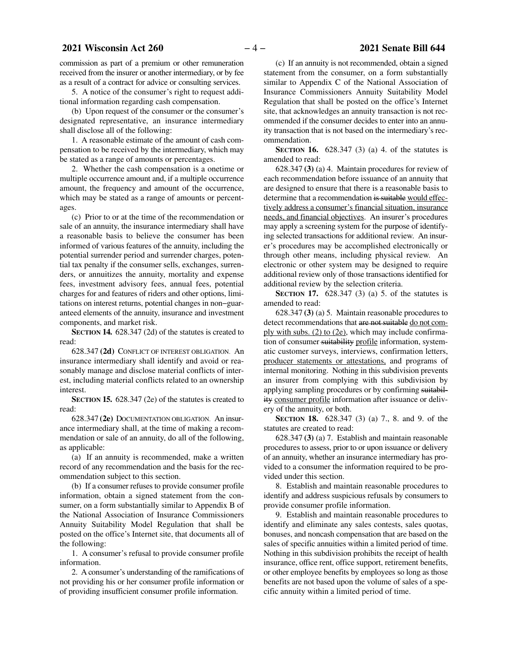commission as part of a premium or other remuneration received from the insurer or another intermediary, or by fee as a result of a contract for advice or consulting services.

5. A notice of the consumer's right to request additional information regarding cash compensation.

(b) Upon request of the consumer or the consumer's designated representative, an insurance intermediary shall disclose all of the following:

1. A reasonable estimate of the amount of cash compensation to be received by the intermediary, which may be stated as a range of amounts or percentages.

2. Whether the cash compensation is a onetime or multiple occurrence amount and, if a multiple occurrence amount, the frequency and amount of the occurrence, which may be stated as a range of amounts or percentages.

(c) Prior to or at the time of the recommendation or sale of an annuity, the insurance intermediary shall have a reasonable basis to believe the consumer has been informed of various features of the annuity, including the potential surrender period and surrender charges, potential tax penalty if the consumer sells, exchanges, surrenders, or annuitizes the annuity, mortality and expense fees, investment advisory fees, annual fees, potential charges for and features of riders and other options, limitations on interest returns, potential changes in non−guaranteed elements of the annuity, insurance and investment components, and market risk.

**SECTION 14.** 628.347 (2d) of the statutes is created to read:

628.347 **(2d)** CONFLICT OF INTEREST OBLIGATION. An insurance intermediary shall identify and avoid or reasonably manage and disclose material conflicts of interest, including material conflicts related to an ownership interest.

**SECTION 15.** 628.347 (2e) of the statutes is created to read:

628.347 **(2e)** DOCUMENTATION OBLIGATION. An insurance intermediary shall, at the time of making a recommendation or sale of an annuity, do all of the following, as applicable:

(a) If an annuity is recommended, make a written record of any recommendation and the basis for the recommendation subject to this section.

(b) If a consumer refuses to provide consumer profile information, obtain a signed statement from the consumer, on a form substantially similar to Appendix B of the National Association of Insurance Commissioners Annuity Suitability Model Regulation that shall be posted on the office's Internet site, that documents all of the following:

1. A consumer's refusal to provide consumer profile information.

2. A consumer's understanding of the ramifications of not providing his or her consumer profile information or of providing insufficient consumer profile information.

(c) If an annuity is not recommended, obtain a signed statement from the consumer, on a form substantially similar to Appendix C of the National Association of Insurance Commissioners Annuity Suitability Model Regulation that shall be posted on the office's Internet site, that acknowledges an annuity transaction is not recommended if the consumer decides to enter into an annuity transaction that is not based on the intermediary's recommendation.

**SECTION 16.** 628.347 (3) (a) 4. of the statutes is amended to read:

628.347 **(3)** (a) 4. Maintain procedures for review of each recommendation before issuance of an annuity that are designed to ensure that there is a reasonable basis to determine that a recommendation is suitable would effectively address a consumer's financial situation, insurance needs, and financial objectives. An insurer's procedures may apply a screening system for the purpose of identifying selected transactions for additional review. An insurer's procedures may be accomplished electronically or through other means, including physical review. An electronic or other system may be designed to require additional review only of those transactions identified for additional review by the selection criteria.

**SECTION 17.** 628.347 (3) (a) 5. of the statutes is amended to read:

628.347 **(3)** (a) 5. Maintain reasonable procedures to detect recommendations that are not suitable do not comply with subs. (2) to (2e), which may include confirmation of consumer suitability profile information, systematic customer surveys, interviews, confirmation letters, producer statements or attestations, and programs of internal monitoring. Nothing in this subdivision prevents an insurer from complying with this subdivision by applying sampling procedures or by confirming suitability consumer profile information after issuance or delivery of the annuity, or both.

**SECTION 18.** 628.347 (3) (a) 7., 8. and 9. of the statutes are created to read:

628.347 **(3)** (a) 7. Establish and maintain reasonable procedures to assess, prior to or upon issuance or delivery of an annuity, whether an insurance intermediary has provided to a consumer the information required to be provided under this section.

8. Establish and maintain reasonable procedures to identify and address suspicious refusals by consumers to provide consumer profile information.

9. Establish and maintain reasonable procedures to identify and eliminate any sales contests, sales quotas, bonuses, and noncash compensation that are based on the sales of specific annuities within a limited period of time. Nothing in this subdivision prohibits the receipt of health insurance, office rent, office support, retirement benefits, or other employee benefits by employees so long as those benefits are not based upon the volume of sales of a specific annuity within a limited period of time.